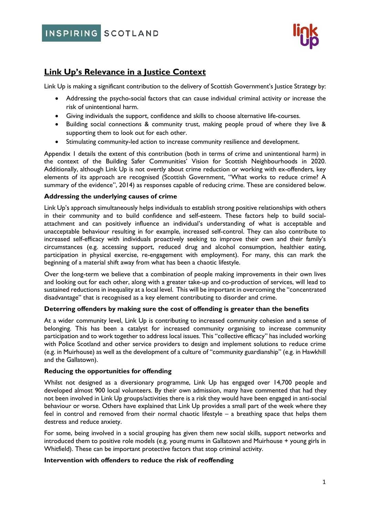INSPIRING SCOTLAND



# **Link Up's Relevance in a Justice Context**

Link Up is making a significant contribution to the delivery of Scottish Government's Justice Strategy by:

- Addressing the psycho-social factors that can cause individual criminal activity or increase the risk of unintentional harm.
- Giving individuals the support, confidence and skills to choose alternative life-courses.
- Building social connections & community trust, making people proud of where they live & supporting them to look out for each other.
- Stimulating community-led action to increase community resilience and development.

Appendix 1 details the extent of this contribution (both in terms of crime and unintentional harm) in the context of the Building Safer Communities' Vision for Scottish Neighbourhoods in 2020. Additionally, although Link Up is not overtly about crime reduction or working with ex-offenders, key elements of its approach are recognised (Scottish Government, "What works to reduce crime? A summary of the evidence", 2014) as responses capable of reducing crime. These are considered below.

#### **Addressing the underlying causes of crime**

Link Up's approach simultaneously helps individuals to establish strong positive relationships with others in their community and to build confidence and self-esteem. These factors help to build socialattachment and can positively influence an individual's understanding of what is acceptable and unacceptable behaviour resulting in for example, increased self-control. They can also contribute to increased self-efficacy with individuals proactively seeking to improve their own and their family's circumstances (e.g. accessing support, reduced drug and alcohol consumption, healthier eating, participation in physical exercise, re-engagement with employment). For many, this can mark the beginning of a material shift away from what has been a chaotic lifestyle.

Over the long-term we believe that a combination of people making improvements in their own lives and looking out for each other, along with a greater take-up and co-production of services, will lead to sustained reductions in inequality at a local level. This will be important in overcoming the "concentrated disadvantage" that is recognised as a key element contributing to disorder and crime.

#### **Deterring offenders by making sure the cost of offending is greater than the benefits**

At a wider community level, Link Up is contributing to increased community cohesion and a sense of belonging. This has been a catalyst for increased community organising to increase community participation and to work together to address local issues. This "collective efficacy" has included working with Police Scotland and other service providers to design and implement solutions to reduce crime (e.g. in Muirhouse) as well as the development of a culture of "community guardianship" (e.g. in Hawkhill and the Gallatown).

#### **Reducing the opportunities for offending**

Whilst not designed as a diversionary programme, Link Up has engaged over 14,700 people and developed almost 900 local volunteers. By their own admission, many have commented that had they not been involved in Link Up groups/activities there is a risk they would have been engaged in anti-social behaviour or worse. Others have explained that Link Up provides a small part of the week where they feel in control and removed from their normal chaotic lifestyle – a breathing space that helps them destress and reduce anxiety.

For some, being involved in a social grouping has given them new social skills, support networks and introduced them to positive role models (e.g. young mums in Gallatown and Muirhouse + young girls in Whitfield). These can be important protective factors that stop criminal activity.

#### **Intervention with offenders to reduce the risk of reoffending**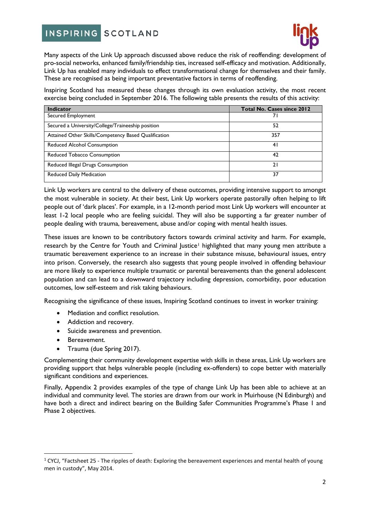#### **INSPIRING SCOTLAND**



Many aspects of the Link Up approach discussed above reduce the risk of reoffending: development of pro-social networks, enhanced family/friendship ties, increased self-efficacy and motivation. Additionally, Link Up has enabled many individuals to effect transformational change for themselves and their family. These are recognised as being important preventative factors in terms of reoffending.

Inspiring Scotland has measured these changes through its own evaluation activity, the most recent exercise being concluded in September 2016. The following table presents the results of this activity:

| <b>Indicator</b>                                     | <b>Total No. Cases since 2012</b> |
|------------------------------------------------------|-----------------------------------|
| Secured Employment                                   |                                   |
| Secured a University/College/Traineeship position    | 52                                |
| Attained Other Skills/Competency Based Qualification | 357                               |
| Reduced Alcohol Consumption                          | 41                                |
| Reduced Tobacco Consumption                          | 42                                |
| Reduced Illegal Drugs Consumption                    | 21                                |
| Reduced Daily Medication                             | 37                                |

Link Up workers are central to the delivery of these outcomes, providing intensive support to amongst the most vulnerable in society. At their best, Link Up workers operate pastorally often helping to lift people out of 'dark places'. For example, in a 12-month period most Link Up workers will encounter at least 1-2 local people who are feeling suicidal. They will also be supporting a far greater number of people dealing with trauma, bereavement, abuse and/or coping with mental health issues.

These issues are known to be contributory factors towards criminal activity and harm. For example, research by the Centre for Youth and Criminal lustice<sup>[1](#page-1-0)</sup> highlighted that many young men attribute a traumatic bereavement experience to an increase in their substance misuse, behavioural issues, entry into prison. Conversely, the research also suggests that young people involved in offending behaviour are more likely to experience multiple traumatic or parental bereavements than the general adolescent population and can lead to a downward trajectory including depression, comorbidity, poor education outcomes, low self-esteem and risk taking behaviours.

Recognising the significance of these issues, Inspiring Scotland continues to invest in worker training:

- Mediation and conflict resolution.
- Addiction and recovery.
- Suicide awareness and prevention.
- Bereavement.
- Trauma (due Spring 2017).

Complementing their community development expertise with skills in these areas, Link Up workers are providing support that helps vulnerable people (including ex-offenders) to cope better with materially significant conditions and experiences.

Finally, Appendix 2 provides examples of the type of change Link Up has been able to achieve at an individual and community level. The stories are drawn from our work in Muirhouse (N Edinburgh) and have both a direct and indirect bearing on the Building Safer Communities Programme's Phase 1 and Phase 2 objectives.

<span id="page-1-0"></span> $1$  CYCJ, "Factsheet 25 - The ripples of death: Exploring the bereavement experiences and mental health of young men in custody", May 2014.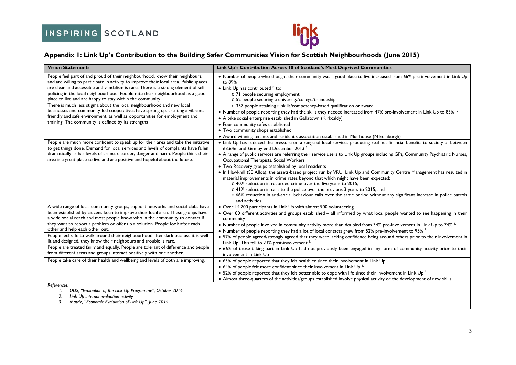

### **Appendix 1: Link Up's Contribution to the Building Safer Communities Vision for Scottish Neighbourhoods (June 2015)**

| <b>Vision Statements</b>                                                                                                                                                                                                                                                                                                                                                                                                                                                                                                                                                                                                                                                                                                                                                          | Link Up's Contribution Across 10 of Scotland's Most Deprived Communities                                                                                                                                                                                                                                                                                                                                                                                                                                                                                                                                                                                                                                                                                                                                                                                                                                                                                                                                                                                                                                                                                                                                                                                          |
|-----------------------------------------------------------------------------------------------------------------------------------------------------------------------------------------------------------------------------------------------------------------------------------------------------------------------------------------------------------------------------------------------------------------------------------------------------------------------------------------------------------------------------------------------------------------------------------------------------------------------------------------------------------------------------------------------------------------------------------------------------------------------------------|-------------------------------------------------------------------------------------------------------------------------------------------------------------------------------------------------------------------------------------------------------------------------------------------------------------------------------------------------------------------------------------------------------------------------------------------------------------------------------------------------------------------------------------------------------------------------------------------------------------------------------------------------------------------------------------------------------------------------------------------------------------------------------------------------------------------------------------------------------------------------------------------------------------------------------------------------------------------------------------------------------------------------------------------------------------------------------------------------------------------------------------------------------------------------------------------------------------------------------------------------------------------|
| People feel part of and proud of their neighbourhood, know their neighbours,<br>and are willing to participate in activity to improve their local area. Public spaces<br>are clean and accessible and vandalism is rare. There is a strong element of self-<br>policing in the local neighbourhood. People rate their neighbourhood as a good<br>place to live and are happy to stay within the community.<br>There is much less stigma about the local neighbourhood and new local<br>businesses and community-led cooperatives have sprung up, creating a vibrant,<br>friendly and safe environment, as well as opportunities for employment and<br>training. The community is defined by its strengths                                                                         | . Number of people who thought their community was a good place to live increased from 66% pre-involvement in Link Up<br>to 89% <sup>1.</sup><br>• Link Up has contributed $2$ to:<br>o 71 people securing employment<br>o 52 people securing a university/college/traineeship<br>o 357 people attaining a skills/competency-based qualification or award<br>• Number of people reporting they had the skills they needed increased from 47% pre-involvement in Link Up to 83% <sup>1.</sup><br>• A bike social enterprise established in Gallatown (Kirkcaldy)<br>• Four community cafes established<br>• Two community shops established<br>• Award winning tenants and resident's association established in Muirhouse (N Edinburgh)                                                                                                                                                                                                                                                                                                                                                                                                                                                                                                                           |
| People are much more confident to speak up for their area and take the initiative<br>to get things done. Demand for local services and levels of complaints have fallen<br>dramatically as has levels of crime, disorder, danger and harm. People think their<br>area is a great place to live and are positive and hopeful about the future.                                                                                                                                                                                                                                                                                                                                                                                                                                     | • Link Up has reduced the pressure on a range of local services producing real net financial benefits to society of between<br>£3.64m and £6m by end December 2013 <sup>3.</sup><br>• A range of public services are referring their service users to Link Up groups including GPs, Community Psychiatric Nurses,<br>Occupational Therapists, Social Workers<br>• Two Recovery groups established by local residents<br>• In Hawkhill (SE Alloa), the assets-based project run by VRU, Link Up and Community Centre Management has resulted in<br>material improvements in crime rates beyond that which might have been expected:<br>o 40% reduction in recorded crime over the five years to 2015;<br>o 41% reduction in calls to the police over the previous 3 years to 2015; and,<br>o 66% reduction in anti-social behaviour calls over the same period without any significant increase in police patrols<br>and activities                                                                                                                                                                                                                                                                                                                                |
| A wide range of local community groups, support networks and social clubs have<br>been established by citizens keen to improve their local area. These groups have<br>a wide social reach and most people know who in the community to contact if<br>they want to report a problem or offer up a solution. People look after each<br>other and help each other out.<br>People feel safe to walk around their neighbourhood after dark because it is well<br>lit and designed, they know their neighbours and trouble is rare.<br>People are treated fairly and equally. People are tolerant of difference and people<br>from different areas and groups interact positively with one another.<br>People take care of their health and wellbeing and levels of both are improving. | • Over 14,700 participants in Link Up with almost 900 volunteering<br>. Over 80 different activities and groups established - all informed by what local people wanted to see happening in their<br>community<br>• Number of people involved in community activity more than doubled from 34% pre-involvement in Link Up to 74% <sup>1.</sup><br>• Number of people reporting they had a lot of local contacts grew from 52% pre-involvement to 95%<br>• 57% of people agreed/strongly agreed that they were lacking confidence being around others prior to their involvement in<br>Link Up. This fell to 23% post-involvement <sup>1.</sup><br>. 66% of those taking part in Link Up had not previously been engaged in any form of community activity prior to their<br>involvement in Link Up <sup>1</sup><br>• 63% of people reported that they felt healthier since their involvement in Link Up <sup>1.</sup><br>• 64% of people felt more confident since their involvement in Link Up <sup>1.</sup><br>• 52% of people reported that they felt better able to cope with life since their involvement in Link Up $\frac{1}{2}$<br>• Almost three-quarters of the activities/groups established involve physical activity or the development of new skills |
| References:<br>ODS, "Evaluation of the Link Up Programme", October 2014                                                                                                                                                                                                                                                                                                                                                                                                                                                                                                                                                                                                                                                                                                           |                                                                                                                                                                                                                                                                                                                                                                                                                                                                                                                                                                                                                                                                                                                                                                                                                                                                                                                                                                                                                                                                                                                                                                                                                                                                   |

*2. Link Up internal evaluation activity*

3. *Matrix, "Economic Evaluation of Link Up", June 2014*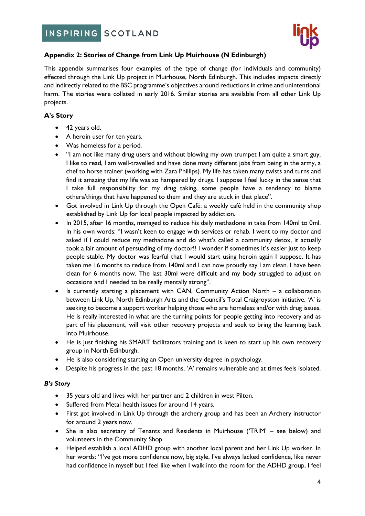

# **Appendix 2: Stories of Change from Link Up Muirhouse (N Edinburgh)**

This appendix summarises four examples of the type of change (for individuals and community) effected through the Link Up project in Muirhouse, North Edinburgh. This includes impacts directly and indirectly related to the BSC programme's objectives around reductions in crime and unintentional harm. The stories were collated in early 2016. Similar stories are available from all other Link Up projects.

# **A's Story**

- 42 years old.
- A heroin user for ten years.
- Was homeless for a period.
- "I am not like many drug users and without blowing my own trumpet I am quite a smart guy, I like to read, I am well-travelled and have done many different jobs from being in the army, a chef to horse trainer (working with Zara Phillips). My life has taken many twists and turns and find it amazing that my life was so hampered by drugs. I suppose I feel lucky in the sense that I take full responsibility for my drug taking, some people have a tendency to blame others/things that have happened to them and they are stuck in that place".
- Got involved in Link Up through the Open Café: a weekly café held in the community shop established by Link Up for local people impacted by addiction.
- In 2015, after 16 months, managed to reduce his daily methadone in take from 140ml to 0ml. In his own words: "I wasn't keen to engage with services or rehab. I went to my doctor and asked if I could reduce my methadone and do what's called a community detox, it actually took a fair amount of persuading of my doctor!! I wonder if sometimes it's easier just to keep people stable. My doctor was fearful that I would start using heroin again I suppose. It has taken me 16 months to reduce from 140ml and I can now proudly say I am clean. I have been clean for 6 months now. The last 30ml were difficult and my body struggled to adjust on occasions and I needed to be really mentally strong".
- Is currently starting a placement with CAN, Community Action North a collaboration between Link Up, North Edinburgh Arts and the Council's Total Craigroyston initiative. 'A' is seeking to become a support worker helping those who are homeless and/or with drug issues. He is really interested in what are the turning points for people getting into recovery and as part of his placement, will visit other recovery projects and seek to bring the learning back into Muirhouse.
- He is just finishing his SMART facilitators training and is keen to start up his own recovery group in North Edinburgh.
- He is also considering starting an Open university degree in psychology.
- Despite his progress in the past 18 months, 'A' remains vulnerable and at times feels isolated.

# *B's Story*

- 35 years old and lives with her partner and 2 children in west Pilton.
- Suffered from Metal health issues for around 14 years.
- First got involved in Link Up through the archery group and has been an Archery instructor for around 2 years now.
- She is also secretary of Tenants and Residents in Muirhouse ('TRIM' see below) and volunteers in the Community Shop.
- Helped establish a local ADHD group with another local parent and her Link Up worker. In her words: "I've got more confidence now, big style, I've always lacked confidence, like never had confidence in myself but I feel like when I walk into the room for the ADHD group, I feel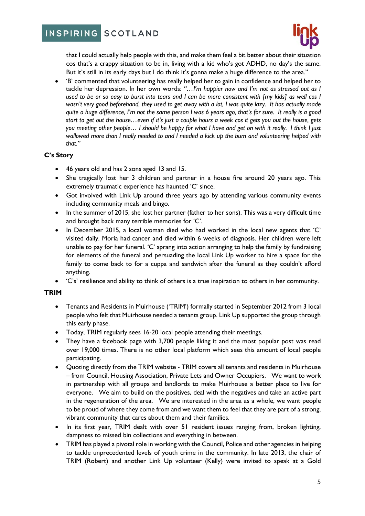# INSPIRING SCOTLAND



that I could actually help people with this, and make them feel a bit better about their situation cos that's a crappy situation to be in, living with a kid who's got ADHD, no day's the same. But it's still in its early days but I do think it's gonna make a huge difference to the area."

• 'B' commented that volunteering has really helped her to gain in confidence and helped her to tackle her depression. In her own words: *"…I'm happier now and I'm not as stressed out as I used to be or so easy to burst into tears and I can be more consistent with [my kids] as well cos I wasn't very good beforehand, they used to get away with a lot, I was quite lazy. It has actually made quite a huge difference, I'm not the same person I was 6 years ago, that's for sure. It really is a good start to get out the house…even if it's just a couple hours a week cos it gets you out the house, gets you meeting other people… I should be happy for what I have and get on with it really. I think I just wallowed more than I really needed to and I needed a kick up the bum and volunteering helped with that."*

# **C's Story**

- 46 years old and has 2 sons aged 13 and 15.
- She tragically lost her 3 children and partner in a house fire around 20 years ago. This extremely traumatic experience has haunted 'C' since.
- Got involved with Link Up around three years ago by attending various community events including community meals and bingo.
- In the summer of 2015, she lost her partner (father to her sons). This was a very difficult time and brought back many terrible memories for 'C'.
- In December 2015, a local woman died who had worked in the local new agents that 'C' visited daily. Moria had cancer and died within 6 weeks of diagnosis. Her children were left unable to pay for her funeral. 'C' sprang into action arranging to help the family by fundraising for elements of the funeral and persuading the local Link Up worker to hire a space for the family to come back to for a cuppa and sandwich after the funeral as they couldn't afford anything.
- 'C's' resilience and ability to think of others is a true inspiration to others in her community.

#### **TRIM**

- Tenants and Residents in Muirhouse ('TRIM') formally started in September 2012 from 3 local people who felt that Muirhouse needed a tenants group. Link Up supported the group through this early phase.
- Today, TRIM regularly sees 16-20 local people attending their meetings.
- They have a facebook page with 3,700 people liking it and the most popular post was read over 19,000 times. There is no other local platform which sees this amount of local people participating.
- Quoting directly from the TRIM website TRIM covers all tenants and residents in Muirhouse – from Council, Housing Association, Private Lets and Owner Occupiers. We want to work in partnership with all groups and landlords to make Muirhouse a better place to live for everyone. We aim to build on the positives, deal with the negatives and take an active part in the regeneration of the area. We are interested in the area as a whole, we want people to be proud of where they come from and we want them to feel that they are part of a strong, vibrant community that cares about them and their families.
- In its first year, TRIM dealt with over 51 resident issues ranging from, broken lighting, dampness to missed bin collections and everything in between.
- TRIM has played a pivotal role in working with the Council, Police and other agencies in helping to tackle unprecedented levels of youth crime in the community. In late 2013, the chair of TRIM (Robert) and another Link Up volunteer (Kelly) were invited to speak at a Gold